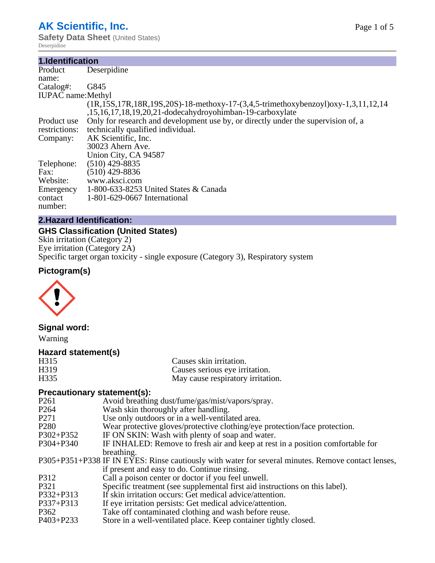# **AK Scientific, Inc.**

**Safety Data Sheet** (United States) Deserpidine

#### **1.Identification**

| Deserpidine                                                                                      |
|--------------------------------------------------------------------------------------------------|
|                                                                                                  |
| G845                                                                                             |
| <b>IUPAC</b> name: Methyl                                                                        |
| $(1R, 15S, 17R, 18R, 19S, 20S) - 18$ -methoxy-17- $(3, 4, 5$ -trimethoxybenzoyl)oxy-1,3,11,12,14 |
| ,15,16,17,18,19,20,21-dodecahydroyohimban-19-carboxylate                                         |
| Only for research and development use by, or directly under the supervision of, a                |
| technically qualified individual.                                                                |
| AK Scientific, Inc.                                                                              |
| 30023 Ahern Ave.                                                                                 |
| Union City, CA 94587                                                                             |
| $(510)$ 429-8835                                                                                 |
| (510) 429-8836                                                                                   |
| www.aksci.com                                                                                    |
| 1-800-633-8253 United States & Canada                                                            |
| 1-801-629-0667 International                                                                     |
|                                                                                                  |
|                                                                                                  |

### **2.Hazard Identification:**

### **GHS Classification (United States)**

Skin irritation (Category 2) Eye irritation (Category 2A) Specific target organ toxicity - single exposure (Category 3), Respiratory system

# **Pictogram(s)**



# **Signal word:**

Warning

# **Hazard statement(s)**

| H315             | Causes skin irritation.           |
|------------------|-----------------------------------|
| H <sub>319</sub> | Causes serious eye irritation.    |
| H335             | May cause respiratory irritation. |

# **Precautionary statement(s):**

| Avoid breathing dust/fume/gas/mist/vapors/spray.                                                   |
|----------------------------------------------------------------------------------------------------|
| Wash skin thoroughly after handling.                                                               |
| Use only outdoors or in a well-ventilated area.                                                    |
| Wear protective gloves/protective clothing/eye protection/face protection.                         |
| IF ON SKIN: Wash with plenty of soap and water.                                                    |
| IF INHALED: Remove to fresh air and keep at rest in a position comfortable for                     |
| breathing.                                                                                         |
| P305+P351+P338 IF IN EYES: Rinse cautiously with water for several minutes. Remove contact lenses, |
| if present and easy to do. Continue rinsing.                                                       |
| Call a poison center or doctor if you feel unwell.                                                 |
| Specific treatment (see supplemental first aid instructions on this label).                        |
| If skin irritation occurs: Get medical advice/attention.                                           |
| If eye irritation persists: Get medical advice/attention.                                          |
| Take off contaminated clothing and wash before reuse.                                              |
| Store in a well-ventilated place. Keep container tightly closed.                                   |
|                                                                                                    |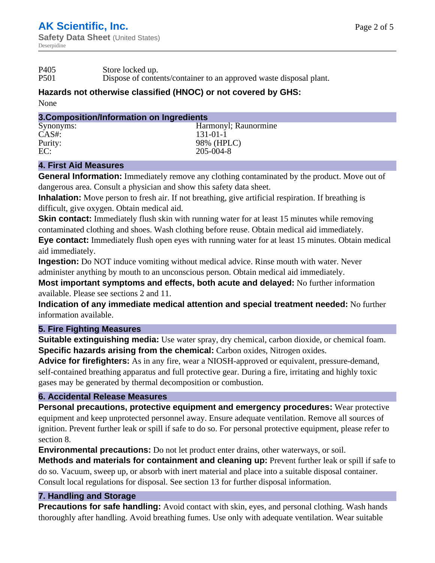P501 Dispose of contents/container to an approved waste disposal plant.

# **Hazards not otherwise classified (HNOC) or not covered by GHS:**

None

#### **3.Composition/Information on Ingredients**

| Synonyms: | Harmonyl; Raunormine |
|-----------|----------------------|
| $CAS#$ :  | $131 - 01 - 1$       |
| Purity:   | 98% (HPLC)           |
| EC:       | 205-004-8            |
|           |                      |

# **4. First Aid Measures**

**General Information:** Immediately remove any clothing contaminated by the product. Move out of dangerous area. Consult a physician and show this safety data sheet.

**Inhalation:** Move person to fresh air. If not breathing, give artificial respiration. If breathing is difficult, give oxygen. Obtain medical aid.

**Skin contact:** Immediately flush skin with running water for at least 15 minutes while removing contaminated clothing and shoes. Wash clothing before reuse. Obtain medical aid immediately.

**Eye contact:** Immediately flush open eyes with running water for at least 15 minutes. Obtain medical aid immediately.

**Ingestion:** Do NOT induce vomiting without medical advice. Rinse mouth with water. Never administer anything by mouth to an unconscious person. Obtain medical aid immediately.

**Most important symptoms and effects, both acute and delayed:** No further information available. Please see sections 2 and 11.

**Indication of any immediate medical attention and special treatment needed:** No further information available.

# **5. Fire Fighting Measures**

**Suitable extinguishing media:** Use water spray, dry chemical, carbon dioxide, or chemical foam. **Specific hazards arising from the chemical:** Carbon oxides, Nitrogen oxides.

**Advice for firefighters:** As in any fire, wear a NIOSH-approved or equivalent, pressure-demand, self-contained breathing apparatus and full protective gear. During a fire, irritating and highly toxic gases may be generated by thermal decomposition or combustion.

# **6. Accidental Release Measures**

**Personal precautions, protective equipment and emergency procedures:** Wear protective equipment and keep unprotected personnel away. Ensure adequate ventilation. Remove all sources of ignition. Prevent further leak or spill if safe to do so. For personal protective equipment, please refer to section 8.

**Environmental precautions:** Do not let product enter drains, other waterways, or soil.

**Methods and materials for containment and cleaning up:** Prevent further leak or spill if safe to do so. Vacuum, sweep up, or absorb with inert material and place into a suitable disposal container. Consult local regulations for disposal. See section 13 for further disposal information.

# **7. Handling and Storage**

**Precautions for safe handling:** Avoid contact with skin, eyes, and personal clothing. Wash hands thoroughly after handling. Avoid breathing fumes. Use only with adequate ventilation. Wear suitable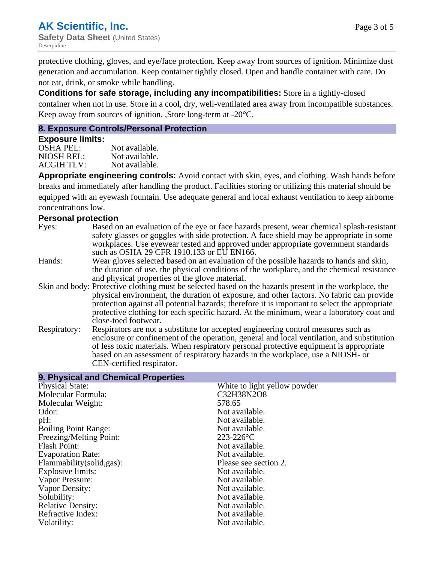protective clothing, gloves, and eye/face protection. Keep away from sources of ignition. Minimize dust generation and accumulation. Keep container tightly closed. Open and handle container with care. Do not eat, drink, or smoke while handling.

**Conditions for safe storage, including any incompatibilities:** Store in a tightly-closed container when not in use. Store in a cool, dry, well-ventilated area away from incompatible substances. Keep away from sources of ignition. ,Store long-term at -20°C.

#### **8. Exposure Controls/Personal Protection**

#### **Exposure limits:**

OSHA PEL:<br>NIOSH REL: Not available. Not available. ACGIH TLV: Not available.

**Appropriate engineering controls:** Avoid contact with skin, eyes, and clothing. Wash hands before breaks and immediately after handling the product. Facilities storing or utilizing this material should be equipped with an eyewash fountain. Use adequate general and local exhaust ventilation to keep airborne concentrations low.

#### **Personal protection**

Eyes: Based on an evaluation of the eye or face hazards present, wear chemical splash-resistant safety glasses or goggles with side protection. A face shield may be appropriate in some workplaces. Use eyewear tested and approved under appropriate government standards such as OSHA 29 CFR 1910.133 or EU EN166. Hands: Wear gloves selected based on an evaluation of the possible hazards to hands and skin, the duration of use, the physical conditions of the workplace, and the chemical resistance and physical properties of the glove material. Skin and body: Protective clothing must be selected based on the hazards present in the workplace, the physical environment, the duration of exposure, and other factors. No fabric can provide protection against all potential hazards; therefore it is important to select the appropriate protective clothing for each specific hazard. At the minimum, wear a laboratory coat and close-toed footwear. Respiratory: Respirators are not a substitute for accepted engineering control measures such as enclosure or confinement of the operation, general and local ventilation, and substitution of less toxic materials. When respiratory personal protective equipment is appropriate based on an assessment of respiratory hazards in the workplace, use a NIOSH- or CEN-certified respirator.

| 9. Physical and Chemical Properties |                              |
|-------------------------------------|------------------------------|
| <b>Physical State:</b>              | White to light yellow powder |
| Molecular Formula:                  | C32H38N2O8                   |
| Molecular Weight:                   | 578.65                       |
| Odor:                               | Not available.               |
| pH:                                 | Not available.               |
| <b>Boiling Point Range:</b>         | Not available.               |
| Freezing/Melting Point:             | $223 - 226$ °C               |
| <b>Flash Point:</b>                 | Not available.               |
| <b>Evaporation Rate:</b>            | Not available.               |
| Flammability(solid,gas):            | Please see section 2.        |
| Explosive limits:                   | Not available.               |
| Vapor Pressure:                     | Not available.               |
| Vapor Density:                      | Not available.               |
| Solubility:                         | Not available.               |
| <b>Relative Density:</b>            | Not available.               |
| Refractive Index:                   | Not available.               |
| Volatility:                         | Not available.               |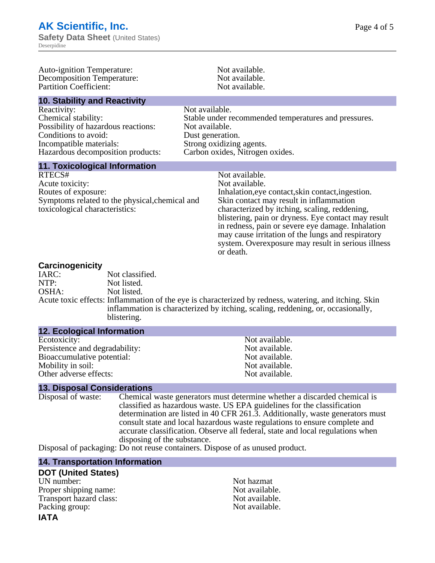Auto-ignition Temperature: Not available.<br>
Decomposition Temperature: Not available. Decomposition Temperature: Not available.<br>
Partition Coefficient: Not available.<br>
Not available. Partition Coefficient: **10. Stability and Reactivity** Reactivity: Not available. Chemical stability: Stable under recommended temperatures and pressures. Possibility of hazardous reactions: Not available. Conditions to avoid: Dust generation. Incompatible materials:<br>
Hazardous decomposition products: Carbon oxides, Nitrogen oxides. Hazardous decomposition products: **11. Toxicological Information** RTECS# Not available.<br>Acute toxicity: Not available. Acute toxicity: Routes of exposure: The Inhalation, eve contact, skin contact, ingestion. Symptoms related to the physical,chemical and toxicological characteristics: Skin contact may result in inflammation characterized by itching, scaling, reddening, blistering, pain or dryness. Eye contact may result in redness, pain or severe eye damage. Inhalation may cause irritation of the lungs and respiratory system. Overexposure may result in serious illness or death.

**Carcinogenicity** Not classified. NTP: Not listed. OSHA: Not listed. Acute toxic effects: Inflammation of the eye is characterized by redness, watering, and itching. Skin inflammation is characterized by itching, scaling, reddening, or, occasionally, blistering.

#### **12. Ecological Information**

Ecotoxicity: Not available.<br>
Not available.<br>
Not available.<br>
Not available. Persistence and degradability:<br>
Bioaccumulative potential:<br>
Not available.<br>
Not available. Bioaccumulative potential: Mobility in soil: Not available. Other adverse effects: Not available.

#### **13. Disposal Considerations**

Disposal of waste: Chemical waste generators must determine whether a discarded chemical is classified as hazardous waste. US EPA guidelines for the classification determination are listed in 40 CFR 261.3. Additionally, waste generators must consult state and local hazardous waste regulations to ensure complete and accurate classification. Observe all federal, state and local regulations when disposing of the substance.

Disposal of packaging: Do not reuse containers. Dispose of as unused product.

#### **14. Transportation Information**

#### **DOT (United States)**

UN number: Not hazmat Proper shipping name:<br>
Transport hazard class:<br>
Not available. Transport hazard class: Packing group: Not available.

# **IATA**